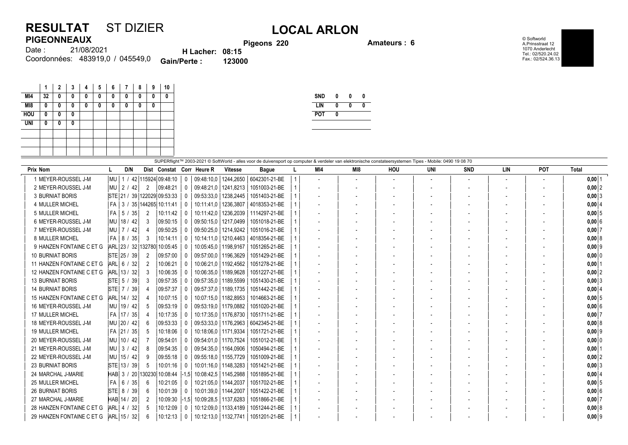## **RESULTAT** ST DIZIER **LOCAL ARLON PIGEONNEAUX**

**Pigeons 220 Amateurs : 6**

© Softworld A.Prinsstraat 12 1070 Anderlecht Tel.: 02/520.24.02 Fax.: 02/524.36.13

|        |                                  |                        | <b>Piged</b> |
|--------|----------------------------------|------------------------|--------------|
| Date : | 21/08/2021                       | <b>H</b> Lacher: 08:15 |              |
|        | Coordonnées: 483919,0 / 045549,0 | <b>Gain/Perte:</b>     | 123000       |

|            |    | 2 | 3 | 4 | 5 | 6 | 7 | 8 | 9 | 10            |
|------------|----|---|---|---|---|---|---|---|---|---------------|
| MI4        | 32 | 0 | 0 | 0 | 0 | 0 | 0 | 0 | 0 | 0             |
| M18        | 0  | 0 | 0 | 0 | 0 | 0 | 0 | 0 | 0 |               |
| <b>HOU</b> | 0  | 0 | 0 |   |   |   |   |   |   |               |
| <b>UNI</b> | 0  | 0 | 0 |   |   |   |   |   |   |               |
|            |    |   |   |   |   |   |   |   |   |               |
|            |    |   |   |   |   |   |   |   |   |               |
|            |    |   |   |   |   |   |   |   |   |               |
|            |    |   |   |   |   |   |   |   |   | $Q$ unthe $Q$ |

| <b>SND</b> | 0 | N | U |
|------------|---|---|---|
| I IN       | N | N |   |
| <b>POT</b> | 0 |   |   |
|            |   |   |   |

| SUPERflight™ 2003-2021 © SoftWorld - alles voor de duivensport op computer & verdeler van elektronische constateersystemen Tipes - Mobile: 0490 19 08 70 |                             |                        |                  |                         |                           |                        |               |  |     |                          |                          |     |            |     |        |              |
|----------------------------------------------------------------------------------------------------------------------------------------------------------|-----------------------------|------------------------|------------------|-------------------------|---------------------------|------------------------|---------------|--|-----|--------------------------|--------------------------|-----|------------|-----|--------|--------------|
| <b>Prix Nom</b>                                                                                                                                          | D/N                         |                        |                  |                         | Dist Constat Corr Heure R | <b>Vitesse</b>         | <b>Bague</b>  |  | MI4 | MI8                      | HOU                      | UNI | <b>SND</b> | LIN | POT    | <b>Total</b> |
| 1 MEYER-ROUSSEL J-M                                                                                                                                      | l MU                        | 1 / 42 115924 09:48:10 |                  | 0                       | 09:48:10,0                | 1244,2650              | 6042301-21-BE |  |     | $\overline{\phantom{a}}$ | $\overline{\phantom{a}}$ |     |            |     | $\sim$ | $0,00$ 1     |
| 2 MEYER-ROUSSEL J-M                                                                                                                                      | l Mu<br>$\frac{2}{42}$      | 2                      | 09:48:21         | $\Omega$                |                           | 09:48:21.0   1241.8213 | 1051003-21-BE |  |     |                          |                          |     |            |     |        | $0,00$ 2     |
| <b>3 BURNIAT BORIS</b>                                                                                                                                   | STE 21 / 39 122029 09:53:33 |                        |                  | 0                       | 09:53:33.0                | 1238.2445              | 1051403-21-BE |  |     |                          |                          |     |            |     |        | 0,003        |
| 4 MULLER MICHEL                                                                                                                                          | FA   3 / 35   144265        |                        | 10:11:41         | $\Omega$                | 10:11:41.0                | 1236,3807              | 4018353-21-BE |  |     |                          |                          |     |            |     |        | $0,00$ 4     |
| 5 MULLER MICHEL                                                                                                                                          | $FA$ 5 / 35                 |                        | 10:11:42         | $\Omega$                |                           | 10:11:42,0   1236,2039 | 1114297-21-BE |  |     |                          |                          |     |            |     |        | $0,00$ 5     |
| 6 MEYER-ROUSSEL J-M                                                                                                                                      | l Mu<br>18/42               | 3                      | 09:50:15         | 0                       |                           | 09:50:15.0   1217.0499 | 1051018-21-BE |  |     |                          |                          |     |            |     |        | 0,006        |
| 7 MEYER-ROUSSEL J-M                                                                                                                                      | l Mu<br>$\vert$ 7 / 42      |                        | 09:50:25         | $\Omega$                |                           | 09:50:25,0   1214,9242 | 1051016-21-BE |  |     |                          |                          |     |            |     |        | $0,00$ 7     |
| 8 MULLER MICHEL                                                                                                                                          | FA   8 / 35                 | 3                      | 10:14:11         |                         |                           | 10:14:11.0   1210.4463 | 4018354-21-BE |  |     |                          |                          |     |            |     |        | 0,008        |
| 9 HANZEN FONTAINE C ET G                                                                                                                                 | ARL 23 / 32 132780          |                        | 10:05:45         | $\Omega$                | 10:05:45.0   1198.9167    |                        | 1051265-21-BE |  |     |                          |                          |     |            |     |        | $0,00$ 9     |
| <b>10 BURNIAT BORIS</b>                                                                                                                                  | STE 25 / 39                 |                        | 09:57:00         |                         |                           | 09:57:00,0   1196,3629 | 1051429-21-BE |  |     |                          |                          |     |            |     |        | $0,00$ 0     |
| 11 HANZEN FONTAINE C ET G                                                                                                                                | ARL 6 / 32                  |                        | 10:06:21         | 0                       |                           | 10:06:21.0   1192.4562 | 1051278-21-BE |  |     |                          |                          |     |            |     |        | 0,00         |
| 12 HANZEN FONTAINE C ET G                                                                                                                                | ARL 13 / 32                 |                        | 10:06:35         | - 0                     |                           | 10:06:35.0   1189.9628 | 1051227-21-BE |  |     |                          |                          |     |            |     |        | 0,00 2       |
| <b>13 BURNIAT BORIS</b>                                                                                                                                  | STE 5 / 39                  |                        | 09:57:35         |                         |                           | 09:57:35.0   1189.5599 | 1051430-21-BE |  |     |                          |                          |     |            |     |        | $0,00$ 3     |
| <b>14 BURNIAT BORIS</b>                                                                                                                                  | STE 7 / 39                  |                        | 09:57:37         | $\Omega$                |                           | 09:57:37.0   1189.1735 | 1051442-21-BE |  |     |                          |                          |     |            |     |        | $0,00$ 4     |
| 15 HANZEN FONTAINE C ET G                                                                                                                                | ARL 14 / 32                 |                        | 10:07:15         | $\Omega$                |                           | 10:07:15,0   1182,8953 | 1014663-21-BE |  |     |                          |                          |     |            |     |        | 0,005        |
| 16 MEYER-ROUSSEL J-M                                                                                                                                     | MU   19 / 42                |                        | 09:53:19         |                         |                           | 09:53:19.0   1179.0882 | 1051020-21-BE |  |     |                          |                          |     |            |     |        | $0,00$ 6     |
| 17 MULLER MICHEL                                                                                                                                         | FA 17 / 35                  |                        | 10:17:35         | 0                       |                           | 10:17:35.0   1176.8730 | 1051711-21-BE |  |     |                          |                          |     |            |     |        | $0,00$ 7     |
| 18 MEYER-ROUSSEL J-M                                                                                                                                     | MU   20 /<br>42             |                        | 09:53:33         |                         |                           | 09:53:33.0   1176.2963 | 6042345-21-BE |  |     |                          |                          |     |            |     |        | 0.0018       |
| 19 MULLER MICHEL                                                                                                                                         | FA 21 / 35                  |                        | 10:18:06         |                         |                           | 10:18:06.0   1171.9334 | 1051721-21-BE |  |     |                          |                          |     |            |     |        | $0,00$ 9     |
| 20 MEYER-ROUSSEL J-M                                                                                                                                     | l MU-<br>10/42              |                        | 09:54:01         | $\Omega$                |                           | 09:54:01.0   1170.7524 | 1051012-21-BE |  |     |                          |                          |     |            |     |        | $0,00$ 0     |
| 21 MEYER-ROUSSEL J-M                                                                                                                                     | MU   3 / 42                 |                        | 09:54:35         |                         |                           | 09:54:35.0   1164.0906 | 1050494-21-BE |  |     |                          |                          |     |            |     |        | 0,00         |
| 22 MEYER-ROUSSEL J-M                                                                                                                                     | l Mu<br>15/42               | g                      | 09:55:18         | 0                       |                           | 09:55:18.0   1155.7729 | 1051009-21-BE |  |     |                          |                          |     |            |     |        | $0,00$  2    |
| <b>23 BURNIAT BORIS</b>                                                                                                                                  | STE 13 / 39                 |                        | 10:01:16         | $\Omega$                |                           | 10:01:16,0   1148,3283 | 1051421-21-BE |  |     |                          |                          |     |            |     |        | $0,00$ 3     |
| 24 MARCHAL J-MARIE                                                                                                                                       | HAB 3 / 20 130230           |                        | $10:08:44$  -1.5 |                         |                           | 10:08:42.5   1145.2988 | 1051895-21-BE |  |     |                          |                          |     |            |     |        | $0,00$ 4     |
| 25 MULLER MICHEL                                                                                                                                         | FA   6 / 35                 | -6                     | 10:21:05         | $\mathbf{0}$            |                           | 10:21:05.0   1144.2037 | 1051702-21-BE |  |     |                          |                          |     |            |     |        | $0,00$ 5     |
| <b>26 BURNIAT BORIS</b>                                                                                                                                  | STE 8 / 39                  |                        | 10:01:39         | $\Omega$                | 10:01:39.0   1144.2007    |                        | 1051422-21-BE |  |     |                          |                          |     |            |     |        | 0,006        |
| 27 MARCHAL J-MARIE                                                                                                                                       | HAB 14 / 20                 |                        | 10:09:30         | $ -1,5 $                |                           | 10:09:28,5   1137,6283 | 1051866-21-BE |  |     |                          |                          |     |            |     |        | $0,00$ 7     |
| 28 HANZEN FONTAINE C ET G                                                                                                                                | ARL 4 / 32                  |                        | 10:12:09         | 0                       |                           | 10:12:09.0   1133.4189 | 1051244-21-BE |  |     |                          |                          |     |            |     |        | 0,008        |
| 29 HANZEN FONTAINE C ET G                                                                                                                                | ARL 15 / 32                 |                        | 10:12:13         | $\overline{\mathbf{0}}$ |                           | 10:12:13,0   1132,7741 | 1051201-21-BE |  |     |                          |                          |     |            |     |        | $0,00$ 9     |